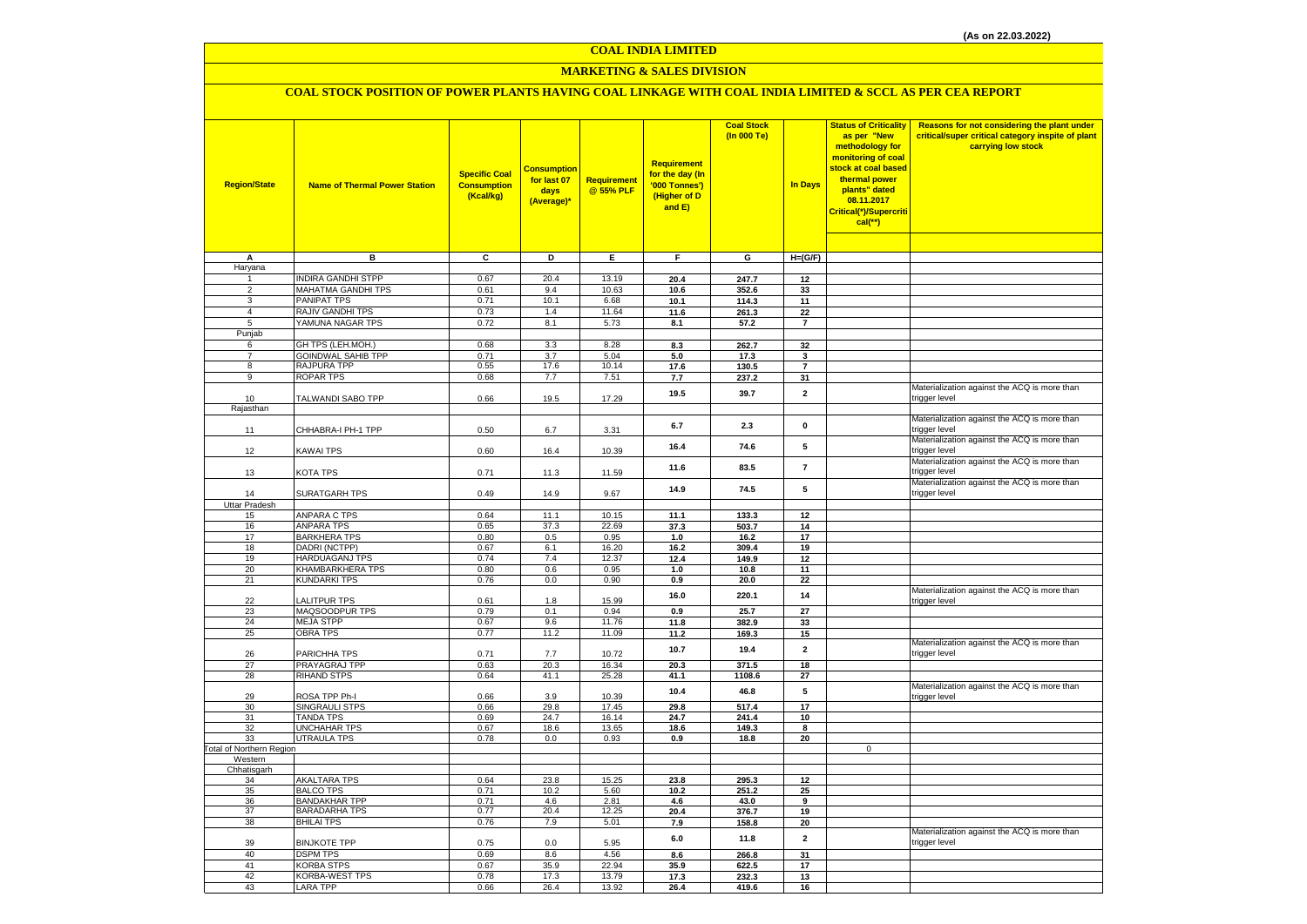#### **COAL INDIA LIMITED**

# **MARKETING & SALES DIVISION**

# **COAL STOCK POSITION OF POWER PLANTS HAVING COAL LINKAGE WITH COAL INDIA LIMITED & SCCL AS PER CEA REPORT**

| <b>Region/State</b>      | <b>Name of Thermal Power Station</b>      | <b>Specific Coal</b><br><b>Consumption</b><br>(Kcal/kg) | <b>Consumptior</b><br>for last 07<br>days<br>(Average)* | Requirement<br>@ 55% PLF | <b>Requirement</b><br>for the day (In<br>'000 Tonnes')<br>(Higher of D<br>and E) | <b>Coal Stock</b><br>(In 000 Te) | <b>In Days</b>          | <b>Status of Criticality</b><br>as per "New<br>methodology for<br>monitoring of coal<br>stock at coal based<br>thermal power<br>plants" dated<br>08.11.2017<br>Critical(*)/Supercriti<br>$cal$ (**) | Reasons for not considering the plant under<br>critical/super critical category inspite of plant<br>carrying low stock |
|--------------------------|-------------------------------------------|---------------------------------------------------------|---------------------------------------------------------|--------------------------|----------------------------------------------------------------------------------|----------------------------------|-------------------------|-----------------------------------------------------------------------------------------------------------------------------------------------------------------------------------------------------|------------------------------------------------------------------------------------------------------------------------|
|                          |                                           |                                                         |                                                         |                          |                                                                                  |                                  |                         |                                                                                                                                                                                                     |                                                                                                                        |
| A                        | в                                         | $\overline{\mathbf{c}}$                                 | ъ                                                       | Έ                        | F                                                                                | G                                | $H=(G/F)$               |                                                                                                                                                                                                     |                                                                                                                        |
| Haryana                  |                                           |                                                         |                                                         |                          |                                                                                  |                                  |                         |                                                                                                                                                                                                     |                                                                                                                        |
| 1                        | <b>INDIRA GANDHI STPP</b>                 | 0.67                                                    | 20.4                                                    | 13.19                    | 20.4                                                                             | 247.7                            | 12                      |                                                                                                                                                                                                     |                                                                                                                        |
| $\overline{2}$<br>3      | <b>MAHATMA GANDHI TPS</b>                 | 0.61                                                    | 9.4                                                     | 10.63                    | 10.6                                                                             | 352.6                            | 33                      |                                                                                                                                                                                                     |                                                                                                                        |
| $\overline{4}$           | PANIPAT TPS<br><b>RAJIV GANDHI TPS</b>    | 0.71<br>0.73                                            | 10.1<br>1.4                                             | 6.68<br>11.64            | 10.1<br>11.6                                                                     | 114.3<br>261.3                   | 11<br>22                |                                                                                                                                                                                                     |                                                                                                                        |
| 5                        | YAMUNA NAGAR TPS                          | 0.72                                                    | 8.1                                                     | 5.73                     | 8.1                                                                              | 57.2                             | $\overline{7}$          |                                                                                                                                                                                                     |                                                                                                                        |
| Punjab                   |                                           |                                                         |                                                         |                          |                                                                                  |                                  |                         |                                                                                                                                                                                                     |                                                                                                                        |
| 6                        | GH TPS (LEH.MOH.)                         | 0.68                                                    | 3.3                                                     | 8.28                     | 8.3                                                                              | 262.7                            | 32                      |                                                                                                                                                                                                     |                                                                                                                        |
| $\overline{7}$           | <b>GOINDWAL SAHIB TPP</b>                 | 0.71                                                    | 3.7                                                     | 5.04                     | 5.0                                                                              | 17.3                             | 3                       |                                                                                                                                                                                                     |                                                                                                                        |
| 8                        | RAJPURA TPP                               | 0.55                                                    | 17.6                                                    | 10.14                    | 17.6                                                                             | 130.5                            | $\overline{7}$          |                                                                                                                                                                                                     |                                                                                                                        |
| 9                        | ROPAR TPS                                 | 0.68                                                    | 7.7                                                     | 7.51                     | 7.7                                                                              | 237.2                            | 31                      |                                                                                                                                                                                                     |                                                                                                                        |
| 10                       | TALWANDI SABO TPP                         | 0.66                                                    | 19.5                                                    | 17.29                    | 19.5                                                                             | 39.7                             | $\mathbf{2}$            |                                                                                                                                                                                                     | Materialization against the ACQ is more than<br>trigger level                                                          |
| Rajasthan                |                                           |                                                         |                                                         |                          |                                                                                  |                                  |                         |                                                                                                                                                                                                     |                                                                                                                        |
| 11                       | CHHABRA-I PH-1 TPP                        | 0.50                                                    | 6.7                                                     | 3.31                     | 6.7                                                                              | 2.3                              | $\pmb{0}$               |                                                                                                                                                                                                     | Materialization against the ACQ is more than<br>trigger level                                                          |
| 12                       | <b>KAWAI TPS</b>                          | 0.60                                                    | 16.4                                                    | 10.39                    | 16.4                                                                             | 74.6                             | 5                       |                                                                                                                                                                                                     | Materialization against the ACQ is more than<br>trigger level                                                          |
| 13                       | KOTA TPS                                  | 0.71                                                    | 11.3                                                    | 11.59                    | 11.6                                                                             | 83.5                             | $\overline{7}$          |                                                                                                                                                                                                     | Materialization against the ACQ is more than<br>trigger level                                                          |
| 14                       | SURATGARH TPS                             | 0.49                                                    | 14.9                                                    | 9.67                     | 14.9                                                                             | 74.5                             | 5                       |                                                                                                                                                                                                     | Materialization against the ACQ is more than<br>trigger level                                                          |
| <b>Uttar Pradesh</b>     |                                           |                                                         |                                                         |                          |                                                                                  |                                  |                         |                                                                                                                                                                                                     |                                                                                                                        |
| 15<br>16                 | <b>ANPARA C TPS</b><br><b>ANPARA TPS</b>  | 0.64<br>0.65                                            | 11.1<br>37.3                                            | 10.15<br>22.69           | 11.1                                                                             | 133.3                            | 12                      |                                                                                                                                                                                                     |                                                                                                                        |
| 17                       | <b>BARKHERA TPS</b>                       | 0.80                                                    | 0.5                                                     | 0.95                     | 37.3<br>1.0                                                                      | 503.7<br>16.2                    | 14<br>17                |                                                                                                                                                                                                     |                                                                                                                        |
| 18                       | DADRI (NCTPP)                             | 0.67                                                    | 6.1                                                     | 16.20                    | 16.2                                                                             | 309.4                            | 19                      |                                                                                                                                                                                                     |                                                                                                                        |
| 19                       | HARDUAGANJ TPS                            | 0.74                                                    | 7.4                                                     | 12.37                    | 12.4                                                                             | 149.9                            | 12                      |                                                                                                                                                                                                     |                                                                                                                        |
| 20                       | KHAMBARKHERA TPS                          | 0.80                                                    | 0.6                                                     | 0.95                     | 1.0                                                                              | 10.8                             | 11                      |                                                                                                                                                                                                     |                                                                                                                        |
| 21                       | <b>KUNDARKI TPS</b>                       | 0.76                                                    | 0.0                                                     | 0.90                     | 0.9                                                                              | 20.0                             | 22                      |                                                                                                                                                                                                     |                                                                                                                        |
| 22                       | LALITPUR TPS                              | 0.61                                                    | 1.8                                                     | 15.99                    | 16.0                                                                             | 220.1                            | 14                      |                                                                                                                                                                                                     | Materialization against the ACQ is more than<br>trigger level                                                          |
| 23                       | MAQSOODPUR TPS                            | 0.79                                                    | 0.1                                                     | 0.94                     | 0.9                                                                              | 25.7                             | 27                      |                                                                                                                                                                                                     |                                                                                                                        |
| 24                       | <b>MEJA STPP</b>                          | 0.67                                                    | 9.6                                                     | 11.76                    | 11.8                                                                             | 382.9                            | 33                      |                                                                                                                                                                                                     |                                                                                                                        |
| 25                       | <b>OBRA TPS</b>                           | 0.77                                                    | 11.2                                                    | 11.09                    | 11.2                                                                             | 169.3                            | 15                      |                                                                                                                                                                                                     |                                                                                                                        |
| 26                       | PARICHHA TPS                              | 0.71                                                    | 7.7                                                     | 10.72                    | 10.7                                                                             | 19.4                             | $\overline{2}$          |                                                                                                                                                                                                     | Materialization against the ACQ is more than<br>trigger level                                                          |
| 27                       | PRAYAGRAJ TPP                             | 0.63                                                    | 20.3                                                    | 16.34                    | 20.3                                                                             | 371.5                            | 18                      |                                                                                                                                                                                                     |                                                                                                                        |
| 28                       | <b>RIHAND STPS</b>                        | 0.64                                                    | 41.1                                                    | 25.28                    | 41.1                                                                             | 1108.6                           | 27                      |                                                                                                                                                                                                     | Materialization against the ACQ is more than                                                                           |
| 29                       | ROSA TPP Ph-I                             | 0.66                                                    | 3.9                                                     | 10.39                    | 10.4                                                                             | 46.8                             | ${\bf 5}$               |                                                                                                                                                                                                     | trigger level                                                                                                          |
| 30                       | <b>SINGRAULI STPS</b><br><b>TANDA TPS</b> | 0.66<br>0.69                                            | 29.8                                                    | 17.45<br>16.14           | 29.8                                                                             | 517.4                            | 17<br>10                |                                                                                                                                                                                                     |                                                                                                                        |
| 31<br>32                 | <b>UNCHAHAR TPS</b>                       | 0.67                                                    | 24.7<br>18.6                                            | 13.65                    | 24.7<br>18.6                                                                     | 241.4<br>149.3                   | 8                       |                                                                                                                                                                                                     |                                                                                                                        |
| 33                       | <b>UTRAULA TPS</b>                        | 0.78                                                    | 0.0                                                     | 0.93                     | 0.9                                                                              | 18.8                             | 20                      |                                                                                                                                                                                                     |                                                                                                                        |
| Total of Northern Region |                                           |                                                         |                                                         |                          |                                                                                  |                                  |                         | $\mathbf 0$                                                                                                                                                                                         |                                                                                                                        |
| Western                  |                                           |                                                         |                                                         |                          |                                                                                  |                                  |                         |                                                                                                                                                                                                     |                                                                                                                        |
| Chhatisgarh              |                                           |                                                         |                                                         |                          |                                                                                  |                                  |                         |                                                                                                                                                                                                     |                                                                                                                        |
| 34                       | <b>AKALTARA TPS</b>                       | 0.64                                                    | 23.8                                                    | 15.25                    | 23.8                                                                             | 295.3                            | 12                      |                                                                                                                                                                                                     |                                                                                                                        |
| 35<br>36                 | <b>BALCO TPS</b><br><b>BANDAKHAR TPP</b>  | 0.71<br>0.71                                            | 10.2<br>4.6                                             | 5.60<br>2.81             | 10.2<br>4.6                                                                      | 251.2<br>43.0                    | 25<br>$\overline{9}$    |                                                                                                                                                                                                     |                                                                                                                        |
| 37                       | <b>BARADARHA TPS</b>                      | 0.77                                                    | 20.4                                                    | 12.25                    | 20.4                                                                             | 376.7                            | 19                      |                                                                                                                                                                                                     |                                                                                                                        |
| 38                       | <b>BHILAI TPS</b>                         | 0.76                                                    | 7.9                                                     | 5.01                     | 7.9                                                                              | 158.8                            | 20                      |                                                                                                                                                                                                     |                                                                                                                        |
| 39                       | <b>BINJKOTE TPP</b>                       | 0.75                                                    | 0.0                                                     | 5.95                     | 6.0                                                                              | 11.8                             | $\overline{\mathbf{2}}$ |                                                                                                                                                                                                     | Materialization against the ACQ is more than<br>trigger level                                                          |
| 40                       | <b>DSPM TPS</b>                           | 0.69                                                    | 8.6                                                     | 4.56                     | 8.6                                                                              | 266.8                            | 31                      |                                                                                                                                                                                                     |                                                                                                                        |
| 41                       | KORBA STPS                                | 0.67                                                    | 35.9                                                    | 22.94                    | 35.9                                                                             | 622.5                            | 17                      |                                                                                                                                                                                                     |                                                                                                                        |
| 42                       | <b>KORBA-WEST TPS</b>                     | 0.78                                                    | 17.3                                                    | 13.79                    | 17.3                                                                             | 232.3                            | 13                      |                                                                                                                                                                                                     |                                                                                                                        |
| 43                       | <b>LARA TPP</b>                           | 0.66                                                    | 26.4                                                    | 13.92                    | 26.4                                                                             | 419.6                            | 16                      |                                                                                                                                                                                                     |                                                                                                                        |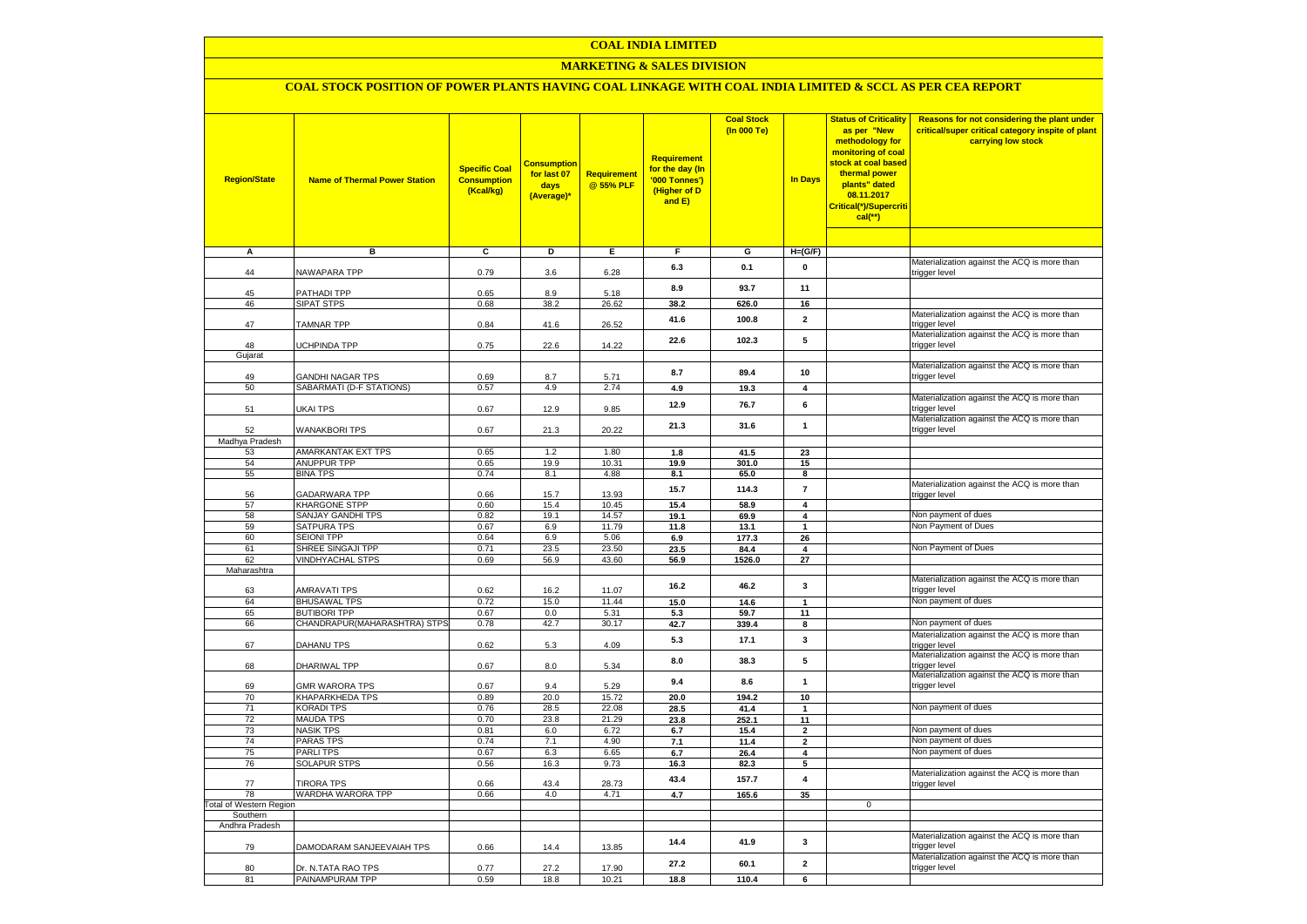# **COAL INDIA LIMITED**

# **MARKETING & SALES DIVISION**

# **COAL STOCK POSITION OF POWER PLANTS HAVING COAL LINKAGE WITH COAL INDIA LIMITED & SCCL AS PER CEA REPORT**

| <b>Region/State</b>                  | <b>Name of Thermal Power Station</b>         | <b>Specific Coal</b><br><b>Consumption</b><br>(Kcal/kg) | <u>Consumption</u><br>for last 07<br>days<br>(Average)* | Requirement<br>@ 55% PLF | Requirement<br>for the day (In<br>'000 Tonnes')<br>(Higher of D<br>and E) | <b>Coal Stock</b><br>(In 000 Te) | <b>In Days</b>                          | <b>Status of Criticality</b><br>as per "New<br>methodology for<br>monitoring of coal<br>stock at coal based<br>thermal power<br>plants" dated<br>08.11.2017<br>Critical(*)/Supercriti<br>$cal$ (**) | Reasons for not considering the plant under<br>critical/super critical category inspite of plant<br>carrying low stock |
|--------------------------------------|----------------------------------------------|---------------------------------------------------------|---------------------------------------------------------|--------------------------|---------------------------------------------------------------------------|----------------------------------|-----------------------------------------|-----------------------------------------------------------------------------------------------------------------------------------------------------------------------------------------------------|------------------------------------------------------------------------------------------------------------------------|
| Α                                    | в                                            | c                                                       | Þ                                                       | Е                        | $\overline{F}$                                                            | G                                | $H=(G/F)$                               |                                                                                                                                                                                                     |                                                                                                                        |
| 44                                   | NAWAPARA TPP                                 | 0.79                                                    | 3.6                                                     | 6.28                     | 6.3                                                                       | 0.1                              | 0                                       |                                                                                                                                                                                                     | Materialization against the ACQ is more than<br>trigger level                                                          |
| 45                                   | PATHADI TPP                                  | 0.65                                                    | 8.9                                                     | 5.18                     | 8.9                                                                       | 93.7                             | 11                                      |                                                                                                                                                                                                     |                                                                                                                        |
| 46                                   | <b>SIPAT STPS</b>                            | 0.68                                                    | 38.2                                                    | 26.62                    | 38.2                                                                      | 626.0                            | 16                                      |                                                                                                                                                                                                     |                                                                                                                        |
| 47                                   | <b>TAMNAR TPP</b>                            | 0.84                                                    | 41.6                                                    | 26.52                    | 41.6                                                                      | 100.8                            | $\mathbf{2}$                            |                                                                                                                                                                                                     | Materialization against the ACQ is more than<br>trigger level                                                          |
| 48<br>Gujarat                        | UCHPINDA TPP                                 | 0.75                                                    | 22.6                                                    | 14.22                    | 22.6                                                                      | 102.3                            | 5                                       |                                                                                                                                                                                                     | Materialization against the ACQ is more than<br>trigger level                                                          |
|                                      |                                              |                                                         |                                                         |                          |                                                                           |                                  |                                         |                                                                                                                                                                                                     | Materialization against the ACQ is more than                                                                           |
| 49<br>50                             | GANDHI NAGAR TPS<br>SABARMATI (D-F STATIONS) | 0.69<br>0.57                                            | 8.7<br>4.9                                              | 5.71<br>2.74             | 8.7<br>4.9                                                                | 89.4<br>19.3                     | 10<br>4                                 |                                                                                                                                                                                                     | trigger level                                                                                                          |
|                                      |                                              |                                                         |                                                         |                          | 12.9                                                                      | 76.7                             | 6                                       |                                                                                                                                                                                                     | Materialization against the ACQ is more than                                                                           |
| 51                                   | UKAI TPS                                     | 0.67                                                    | 12.9                                                    | 9.85                     | 21.3                                                                      | 31.6                             | $\mathbf{1}$                            |                                                                                                                                                                                                     | trigger level<br>Materialization against the ACQ is more than                                                          |
| 52                                   | <b>WANAKBORI TPS</b>                         | 0.67                                                    | 21.3                                                    | 20.22                    |                                                                           |                                  |                                         |                                                                                                                                                                                                     | trigger level                                                                                                          |
| Madhya Pradesh<br>53                 | AMARKANTAK EXT TPS                           | 0.65                                                    | 1.2                                                     | 1.80                     | 1.8                                                                       | 41.5                             | 23                                      |                                                                                                                                                                                                     |                                                                                                                        |
| 54                                   | <b>ANUPPUR TPP</b>                           | 0.65                                                    | 19.9                                                    | 10.31                    | 19.9                                                                      | 301.0                            | 15                                      |                                                                                                                                                                                                     |                                                                                                                        |
| 55                                   | <b>BINA TPS</b>                              | 0.74                                                    | 8.1                                                     | 4.88                     | 8.1                                                                       | 65.0                             | 8                                       |                                                                                                                                                                                                     |                                                                                                                        |
| 56                                   | <b>GADARWARA TPP</b>                         | 0.66                                                    | 15.7                                                    | 13.93                    | 15.7                                                                      | 114.3                            | $\overline{7}$                          |                                                                                                                                                                                                     | Materialization against the ACQ is more than<br>trigger level                                                          |
| 57                                   | <b>KHARGONE STPP</b>                         | 0.60                                                    | 15.4                                                    | 10.45                    | 15.4                                                                      | 58.9                             | $\overline{\mathbf{4}}$                 |                                                                                                                                                                                                     | Non payment of dues                                                                                                    |
| 58<br>59                             | <b>SANJAY GANDHI TPS</b><br>SATPURA TPS      | 0.82<br>0.67                                            | 19.1<br>6.9                                             | 14.57<br>11.79           | 19.1<br>11.8                                                              | 69.9<br>13.1                     | $\overline{\mathbf{4}}$<br>$\mathbf{1}$ |                                                                                                                                                                                                     | Non Payment of Dues                                                                                                    |
| 60                                   | SEIONI TPP                                   | 0.64                                                    | 6.9                                                     | 5.06                     | 6.9                                                                       | 177.3                            | 26                                      |                                                                                                                                                                                                     |                                                                                                                        |
| 61                                   | SHREE SINGAJI TPP                            | 0.71                                                    | 23.5                                                    | 23.50                    | 23.5                                                                      | 84.4                             | $\overline{\mathbf{4}}$                 |                                                                                                                                                                                                     | Non Payment of Dues                                                                                                    |
| 62                                   | <b>VINDHYACHAL STPS</b>                      | 0.69                                                    | 56.9                                                    | 43.60                    | 56.9                                                                      | 1526.0                           | 27                                      |                                                                                                                                                                                                     |                                                                                                                        |
| Maharashtra                          |                                              |                                                         |                                                         |                          |                                                                           |                                  |                                         |                                                                                                                                                                                                     |                                                                                                                        |
| 63                                   | <b>AMRAVATI TPS</b>                          | 0.62                                                    | 16.2                                                    | 11.07                    | 16.2                                                                      | 46.2                             | 3                                       |                                                                                                                                                                                                     | Materialization against the ACQ is more than<br>trigger level                                                          |
| 64                                   | <b>BHUSAWAL TPS</b>                          | 0.72                                                    | 15.0                                                    | 11.44                    | 15.0                                                                      | 14.6                             | $\mathbf{1}$                            |                                                                                                                                                                                                     | Non payment of dues                                                                                                    |
| 65                                   | <b>BUTIBORI TPP</b>                          | 0.67                                                    | 0.0<br>42.7                                             | 5.31<br>30.17            | 5.3<br>42.7                                                               | 59.7<br>339.4                    | 11<br>8                                 |                                                                                                                                                                                                     | Non payment of dues                                                                                                    |
| 66                                   | CHANDRAPUR(MAHARASHTRA) STPS                 | 0.78                                                    |                                                         |                          |                                                                           |                                  |                                         |                                                                                                                                                                                                     | Materialization against the ACQ is more than                                                                           |
| 67                                   | DAHANU TPS                                   | 0.62                                                    | 5.3                                                     | 4.09                     | 5.3                                                                       | 17.1                             | 3                                       |                                                                                                                                                                                                     | trigger level<br>Materialization against the ACQ is more than                                                          |
| 68                                   | DHARIWAL TPP                                 | 0.67                                                    | 8.0                                                     | 5.34                     | 8.0                                                                       | 38.3                             | 5                                       |                                                                                                                                                                                                     | rigger level<br>Materialization against the ACQ is more than                                                           |
| 69                                   | <b>GMR WARORA TPS</b>                        | 0.67                                                    | 9.4                                                     | 5.29                     | 9.4                                                                       | 8.6                              | 1                                       |                                                                                                                                                                                                     | rigger level                                                                                                           |
| 70<br>71                             | KHAPARKHEDA TPS<br><b>KORADI TPS</b>         | 0.89<br>0.76                                            | 20.0<br>28.5                                            | 15.72<br>22.08           | 20.0<br>28.5                                                              | 194.2<br>41.4                    | 10<br>$\mathbf{1}$                      |                                                                                                                                                                                                     | Non payment of dues                                                                                                    |
| $\overline{72}$                      | <b>MAUDA TPS</b>                             | 0.70                                                    | 23.8                                                    | 21.29                    | 23.8                                                                      | 252.1                            | 11                                      |                                                                                                                                                                                                     |                                                                                                                        |
| 73                                   | <b>NASIK TPS</b>                             | 0.81                                                    | 6.0                                                     | 6.72                     | 6.7                                                                       | 15.4                             | $\mathbf{2}$                            |                                                                                                                                                                                                     | Non payment of dues                                                                                                    |
| 74                                   | <b>PARAS TPS</b>                             | 0.74                                                    | 7.1                                                     | 4.90                     | 7.1                                                                       | 11.4                             | $\mathbf{2}$                            |                                                                                                                                                                                                     | Non payment of dues                                                                                                    |
| 75                                   | PARLI TPS                                    | 0.67                                                    | 6.3                                                     | 6.65                     | 6.7                                                                       | 26.4                             | 4                                       |                                                                                                                                                                                                     | Non payment of dues                                                                                                    |
| 76                                   | <b>SOLAPUR STPS</b>                          | 0.56                                                    | 16.3                                                    | 9.73                     | 16.3                                                                      | 82.3                             | 5                                       |                                                                                                                                                                                                     |                                                                                                                        |
| 77                                   | <b>TIRORA TPS</b>                            | 0.66                                                    | 43.4                                                    | 28.73                    | 43.4                                                                      | 157.7                            | $\overline{\mathbf{4}}$                 |                                                                                                                                                                                                     | Materialization against the ACQ is more than<br>trigger level                                                          |
| 78<br><b>Total of Western Region</b> | WARDHA WARORA TPP                            | 0.66                                                    | 4.0                                                     | 4.71                     | 4.7                                                                       | 165.6                            | 35                                      | $\mathbf 0$                                                                                                                                                                                         |                                                                                                                        |
| Southern                             |                                              |                                                         |                                                         |                          |                                                                           |                                  |                                         |                                                                                                                                                                                                     |                                                                                                                        |
| Andhra Pradesh                       |                                              |                                                         |                                                         |                          |                                                                           |                                  |                                         |                                                                                                                                                                                                     |                                                                                                                        |
| 79                                   | DAMODARAM SANJEEVAIAH TPS                    | 0.66                                                    | 14.4                                                    | 13.85                    | 14.4                                                                      | 41.9                             | 3                                       |                                                                                                                                                                                                     | Materialization against the ACQ is more than<br>rigger level                                                           |
| 80                                   | Dr. N.TATA RAO TPS                           | 0.77                                                    | 27.2                                                    | 17.90                    | 27.2                                                                      | 60.1                             | $\overline{2}$                          |                                                                                                                                                                                                     | Materialization against the ACQ is more than<br>trigger level                                                          |
| 81                                   | PAINAMPURAM TPP                              | 0.59                                                    | 18.8                                                    | 10.21                    | 18.8                                                                      | 110.4                            | 6                                       |                                                                                                                                                                                                     |                                                                                                                        |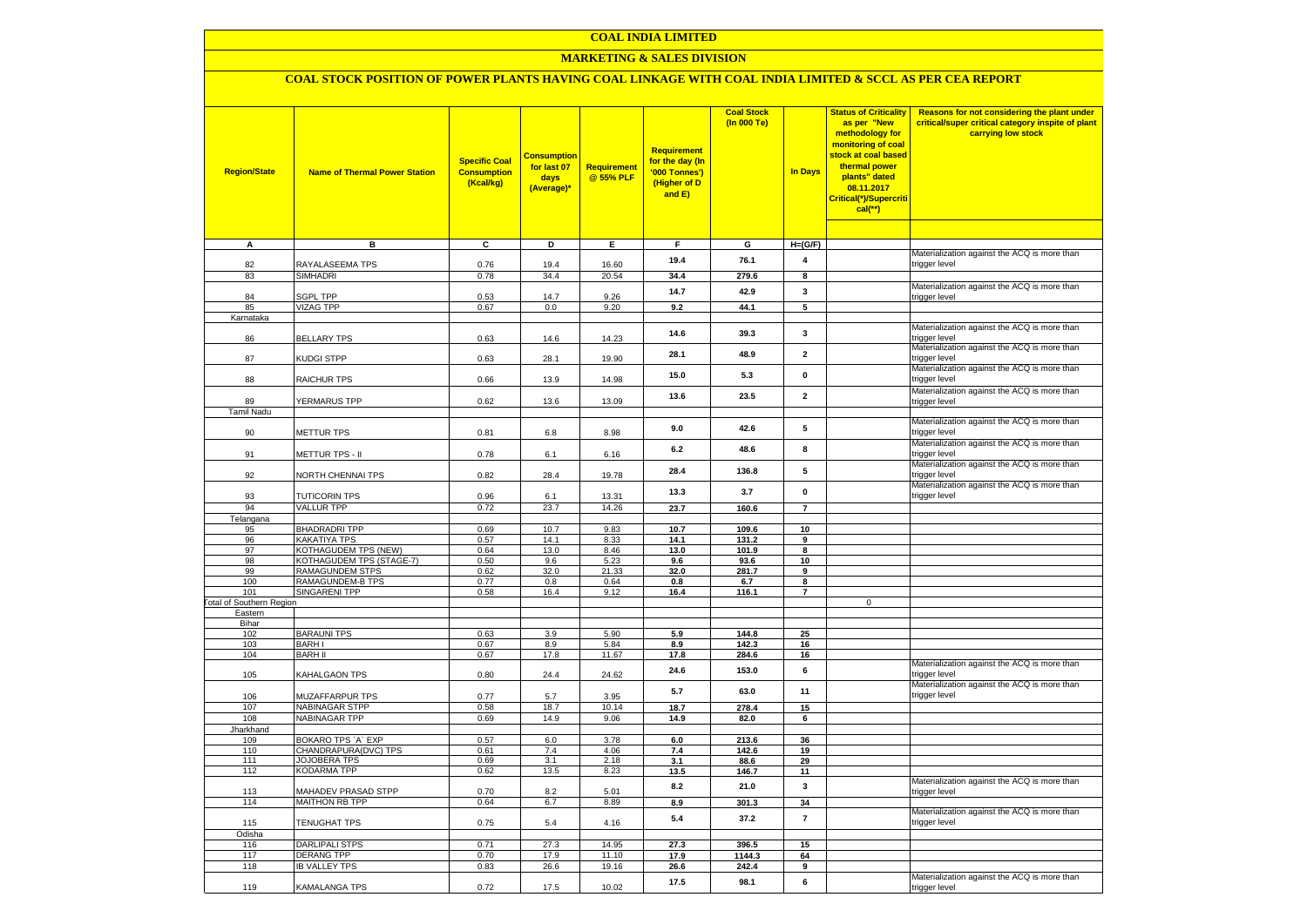# **COAL INDIA LIMITED**

# **MARKETING & SALES DIVISION**

# **COAL STOCK POSITION OF POWER PLANTS HAVING COAL LINKAGE WITH COAL INDIA LIMITED & SCCL AS PER CEA REPORT**

| <b>Region/State</b>                        | <b>Name of Thermal Power Station</b>         | <b>Specific Coal</b><br><b>Consumption</b><br>(Kcal/kg) | <b>Consumptior</b><br>for last 07<br>days<br>(Average)* | Requirement<br>@ 55% PLF | <b>Requirement</b><br>for the day (In<br>'000 Tonnes')<br>(Higher of D<br>and E) | <b>Coal Stock</b><br>(In 000 Te) | <b>In Days</b>          | <b>Status of Criticality</b><br>as per "New<br>methodology for<br>monitoring of coal<br>stock at coal based<br>thermal power<br>plants" dated<br>08.11.2017<br>Critical(*)/Supercriti<br>$cal$ (**) | Reasons for not considering the plant under<br>critical/super critical category inspite of plant<br>carrying low stock |
|--------------------------------------------|----------------------------------------------|---------------------------------------------------------|---------------------------------------------------------|--------------------------|----------------------------------------------------------------------------------|----------------------------------|-------------------------|-----------------------------------------------------------------------------------------------------------------------------------------------------------------------------------------------------|------------------------------------------------------------------------------------------------------------------------|
| Α                                          | в                                            | C                                                       | D                                                       | Е.                       | F.                                                                               | G                                | $H=(G/F)$               |                                                                                                                                                                                                     |                                                                                                                        |
|                                            |                                              |                                                         |                                                         |                          |                                                                                  |                                  |                         |                                                                                                                                                                                                     | Materialization against the ACQ is more than                                                                           |
| 82                                         | RAYALASEEMA TPS                              | 0.76                                                    | 19.4                                                    | 16.60                    | 19.4                                                                             | 76.1                             | 4                       |                                                                                                                                                                                                     | trigger level                                                                                                          |
| 83                                         | <b>SIMHADRI</b>                              | 0.78                                                    | 34.4                                                    | 20.54                    | 34.4                                                                             | 279.6                            | 8                       |                                                                                                                                                                                                     |                                                                                                                        |
|                                            |                                              |                                                         |                                                         |                          | 14.7                                                                             | 42.9                             | 3                       |                                                                                                                                                                                                     | Materialization against the ACQ is more than                                                                           |
| 84<br>85                                   | <b>SGPL TPP</b><br><b>VIZAG TPP</b>          | 0.53<br>0.67                                            | 14.7<br>0.0                                             | 9.26<br>9.20             | 9.2                                                                              | 44.1                             | 5                       |                                                                                                                                                                                                     | trigger level                                                                                                          |
| Karnataka                                  |                                              |                                                         |                                                         |                          |                                                                                  |                                  |                         |                                                                                                                                                                                                     |                                                                                                                        |
|                                            |                                              |                                                         |                                                         |                          | 14.6                                                                             | 39.3                             | 3                       |                                                                                                                                                                                                     | Materialization against the ACQ is more than                                                                           |
| 86                                         | <b>BELLARY TPS</b>                           | 0.63                                                    | 14.6                                                    | 14.23                    |                                                                                  |                                  |                         |                                                                                                                                                                                                     | trigger level<br>Materialization against the ACQ is more than                                                          |
| 87                                         | KUDGI STPP                                   | 0.63                                                    | 28.1                                                    | 19.90                    | 28.1                                                                             | 48.9                             | $\overline{\mathbf{2}}$ |                                                                                                                                                                                                     | trigger level                                                                                                          |
| 88                                         | RAICHUR TPS                                  | 0.66                                                    | 13.9                                                    | 14.98                    | 15.0                                                                             | 5.3                              | $\mathbf{0}$            |                                                                                                                                                                                                     | Materialization against the ACQ is more than<br>trigger level                                                          |
|                                            |                                              |                                                         |                                                         |                          | 13.6                                                                             | 23.5                             | $\overline{\mathbf{2}}$ |                                                                                                                                                                                                     | Materialization against the ACQ is more than                                                                           |
| 89                                         | YERMARUS TPP                                 | 0.62                                                    | 13.6                                                    | 13.09                    |                                                                                  |                                  |                         |                                                                                                                                                                                                     | trigger level                                                                                                          |
| <b>Tamil Nadu</b>                          |                                              |                                                         |                                                         |                          |                                                                                  |                                  |                         |                                                                                                                                                                                                     | Materialization against the ACQ is more than                                                                           |
| 90                                         | <b>METTUR TPS</b>                            | 0.81                                                    | 6.8                                                     | 8.98                     | 9.0                                                                              | 42.6                             | 5                       |                                                                                                                                                                                                     | trigger level                                                                                                          |
|                                            |                                              |                                                         |                                                         |                          |                                                                                  |                                  |                         |                                                                                                                                                                                                     | Materialization against the ACQ is more than                                                                           |
| 91                                         | METTUR TPS - II                              | 0.78                                                    | 6.1                                                     | 6.16                     | 6.2                                                                              | 48.6                             | 8                       |                                                                                                                                                                                                     | trigger level                                                                                                          |
| 92                                         | NORTH CHENNAI TPS                            | 0.82                                                    | 28.4                                                    | 19.78                    | 28.4                                                                             | 136.8                            | 5                       |                                                                                                                                                                                                     | Materialization against the ACQ is more than<br>trigger level                                                          |
|                                            |                                              |                                                         |                                                         |                          | 13.3                                                                             | 3.7                              | $\mathbf{0}$            |                                                                                                                                                                                                     | Materialization against the ACQ is more than                                                                           |
| 93                                         | <b>TUTICORIN TPS</b>                         | 0.96                                                    | 6.1                                                     | 13.31                    |                                                                                  |                                  |                         |                                                                                                                                                                                                     | trigger level                                                                                                          |
| 94                                         | <b>VALLUR TPP</b>                            | 0.72                                                    | 23.7                                                    | 14.26                    | 23.7                                                                             | 160.6                            | $\overline{7}$          |                                                                                                                                                                                                     |                                                                                                                        |
| Telangana                                  | <b>BHADRADRI TPP</b>                         |                                                         | 10.7                                                    |                          |                                                                                  |                                  |                         |                                                                                                                                                                                                     |                                                                                                                        |
| 95<br>96                                   | KAKATIYA TPS                                 | 0.69<br>0.57                                            | 14.1                                                    | 9.83<br>8.33             | 10.7<br>14.1                                                                     | 109.6<br>131.2                   | 10<br>9                 |                                                                                                                                                                                                     |                                                                                                                        |
| 97                                         | KOTHAGUDEM TPS (NEW)                         | 0.64                                                    | 13.0                                                    | 8.46                     | 13.0                                                                             | 101.9                            | 8                       |                                                                                                                                                                                                     |                                                                                                                        |
| 98                                         | KOTHAGUDEM TPS (STAGE-7)                     | 0.50                                                    | 9.6                                                     | 5.23                     | 9.6                                                                              | 93.6                             | 10                      |                                                                                                                                                                                                     |                                                                                                                        |
| 99                                         | RAMAGUNDEM STPS                              | 0.62                                                    | 32.0                                                    | 21.33                    | 32.0                                                                             | 281.7                            | $\overline{9}$          |                                                                                                                                                                                                     |                                                                                                                        |
| 100                                        | <b>RAMAGUNDEM-B TPS</b>                      | 0.77                                                    | 0.8                                                     | 0.64                     | 0.8                                                                              | 6.7                              | 8                       |                                                                                                                                                                                                     |                                                                                                                        |
| 101                                        | <b>SINGARENI TPP</b>                         | 0.58                                                    | 16.4                                                    | 9.12                     | 16.4                                                                             | 116.1                            | $\overline{7}$          | $\mathbf 0$                                                                                                                                                                                         |                                                                                                                        |
| <b>Total of Southern Region</b><br>Eastern |                                              |                                                         |                                                         |                          |                                                                                  |                                  |                         |                                                                                                                                                                                                     |                                                                                                                        |
| Bihar                                      |                                              |                                                         |                                                         |                          |                                                                                  |                                  |                         |                                                                                                                                                                                                     |                                                                                                                        |
| 102                                        | <b>BARAUNI TPS</b>                           | 0.63                                                    | 3.9                                                     | 5.90                     | 5.9                                                                              | 144.8                            | 25                      |                                                                                                                                                                                                     |                                                                                                                        |
| 103                                        | <b>BARHI</b>                                 | 0.67                                                    | 8.9                                                     | 5.84                     | 8.9                                                                              | 142.3                            | 16                      |                                                                                                                                                                                                     |                                                                                                                        |
| 104                                        | <b>BARH II</b>                               | 0.67                                                    | 17.8                                                    | 11.67                    | 17.8                                                                             | 284.6                            | 16                      |                                                                                                                                                                                                     |                                                                                                                        |
| 105                                        | KAHALGAON TPS                                | 0.80                                                    | 24.4                                                    | 24.62                    | 24.6                                                                             | 153.0                            | 6                       |                                                                                                                                                                                                     | Materialization against the ACQ is more than<br>trigger level                                                          |
| 106                                        | MUZAFFARPUR TPS                              | 0.77                                                    | 5.7                                                     | 3.95                     | 5.7                                                                              | 63.0                             | 11                      |                                                                                                                                                                                                     | Materialization against the ACQ is more than<br>trigger level                                                          |
| 107                                        | <b>NABINAGAR STPP</b>                        | 0.58                                                    | 18.7                                                    | 10.14                    | 18.7                                                                             | 278.4                            | 15                      |                                                                                                                                                                                                     |                                                                                                                        |
| 108                                        | NABINAGAR TPP                                | 0.69                                                    | 14.9                                                    | 9.06                     | 14.9                                                                             | 82.0                             | 6                       |                                                                                                                                                                                                     |                                                                                                                        |
| Jharkhand                                  |                                              |                                                         |                                                         |                          |                                                                                  |                                  |                         |                                                                                                                                                                                                     |                                                                                                                        |
| 109                                        | BOKARO TPS `A` EXP                           | 0.57                                                    | 6.0                                                     | 3.78                     | 6.0                                                                              | 213.6                            | 36                      |                                                                                                                                                                                                     |                                                                                                                        |
| 110<br>111                                 | CHANDRAPURA(DVC) TPS<br><b>JOJOBERA TPS</b>  | 0.61<br>0.69                                            | 7.4<br>3.1                                              | 4.06<br>2.18             | 7.4<br>3.1                                                                       | 142.6<br>88.6                    | 19<br>29                |                                                                                                                                                                                                     |                                                                                                                        |
| 112                                        | <b>KODARMA TPP</b>                           | 0.62                                                    | 13.5                                                    | 8.23                     | 13.5                                                                             | 146.7                            | 11                      |                                                                                                                                                                                                     |                                                                                                                        |
|                                            |                                              |                                                         |                                                         |                          | 8.2                                                                              | 21.0                             | $\mathbf{3}$            |                                                                                                                                                                                                     | Materialization against the ACQ is more than                                                                           |
| 113<br>114                                 | MAHADEV PRASAD STPP<br><b>MAITHON RB TPP</b> | 0.70<br>0.64                                            | 8.2<br>6.7                                              | 5.01<br>8.89             | 8.9                                                                              | 301.3                            | 34                      |                                                                                                                                                                                                     | trigger level                                                                                                          |
|                                            |                                              |                                                         |                                                         |                          | 5.4                                                                              | 37.2                             | $\overline{7}$          |                                                                                                                                                                                                     | Materialization against the ACQ is more than                                                                           |
| 115<br>Odisha                              | TENUGHAT TPS                                 | 0.75                                                    | 5.4                                                     | 4.16                     |                                                                                  |                                  |                         |                                                                                                                                                                                                     | trigger level                                                                                                          |
| 116                                        | <b>DARLIPALI STPS</b>                        | 0.71                                                    | 27.3                                                    | 14.95                    | 27.3                                                                             | 396.5                            | 15                      |                                                                                                                                                                                                     |                                                                                                                        |
| 117                                        | <b>DERANG TPP</b>                            | 0.70                                                    | 17.9                                                    | 11.10                    | 17.9                                                                             | 1144.3                           | 64                      |                                                                                                                                                                                                     |                                                                                                                        |
| 118                                        | <b>IB VALLEY TPS</b>                         | 0.83                                                    | 26.6                                                    | 19.16                    | 26.6                                                                             | 242.4                            | 9                       |                                                                                                                                                                                                     |                                                                                                                        |
|                                            |                                              |                                                         |                                                         |                          | 17.5                                                                             | 98.1                             | 6                       |                                                                                                                                                                                                     | Materialization against the ACQ is more than                                                                           |
| 119                                        | <b>KAMALANGA TPS</b>                         | 0.72                                                    | 17.5                                                    | 10.02                    |                                                                                  |                                  |                         |                                                                                                                                                                                                     | trigger level                                                                                                          |